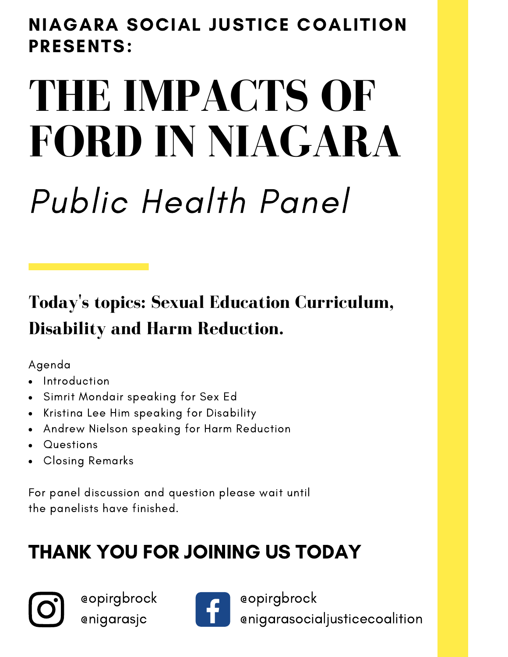## NIAGARA SOCIAL JUSTICE COALITION PRESENTS:

# **THE IMPACTS OF FORD IN NIAGARA**

## Public Health Panel

#### **Today ' s topics: Sexual Education Curriculum, Disability and Harm Reduction.**

Agenda

- Introduction
- Simrit Mondair speaking for Sex Ed
- Kristina Lee Him speaking for Disability
- Andrew Nielson speaking for Harm Reduction
- **Questions**
- Closing Remarks

For panel discussion and question please wait until the panelists have finished.

## THANK YOU FOR JOINING US TODAY



@opirgbrock @nigarasjc



@opirgbrock @nigarasocialjusticecoalition